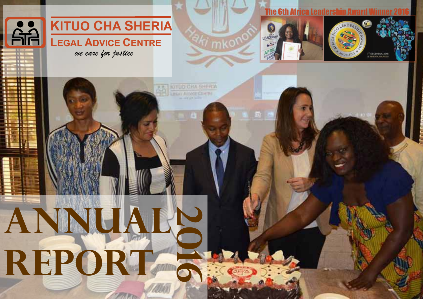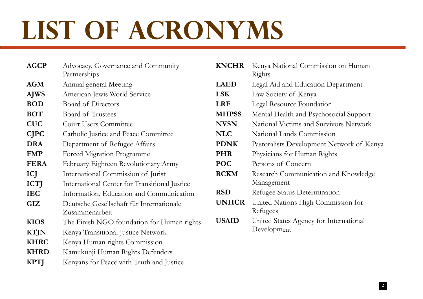### **LIST OF ACRONYMS**

**AGCP** Advocacy, Governance and Community Partnerships **AGM** Annual general Meeting **AJWS** American Jewis World Service **BOD** Board of Directors **BOT** Board of Trustees **CUC** Court Users Committee **CJPC** Catholic Justice and Peace Committee **DRA** Department of Refugee Affairs **FMP** Forced Migration Programme **FERA** February Eighteen Revolutionary Army **ICJ** International Commission of Jurist **ICTJ** International Center for Transitional Justice **IEC** Information, Education and Communication **GIZ** Deutsche Gesellschaft für Internationale Zusammenarbeit **KIOS** The Finish NGO foundation for Human rights **KTJN** Kenya Transitional Justice Network **KHRC** Kenya Human rights Commission **KHRD** Kamukunji Human Rights Defenders **KPTJ** Kenyans for Peace with Truth and Justice

| <b>KNCHR</b> | Kenya National Commission on Human        |
|--------------|-------------------------------------------|
|              | Rights                                    |
| <b>LAED</b>  | Legal Aid and Education Department        |
| <b>LSK</b>   | Law Society of Kenya                      |
| <b>LRF</b>   | Legal Resource Foundation                 |
| <b>MHPSS</b> | Mental Health and Psychosocial Support    |
| <b>NVSN</b>  | National Victims and Survivors Network    |
| <b>NLC</b>   | National Lands Commission                 |
| <b>PDNK</b>  | Pastoralists Development Network of Kenya |
| <b>PHR</b>   | Physicians for Human Rights               |
| <b>POC</b>   | Persons of Concern                        |
| <b>RCKM</b>  | Research Communication and Knowledge      |
|              | Management                                |
| <b>RSD</b>   | Refugee Status Determination              |
| <b>UNHCR</b> | United Nations High Commission for        |
|              | Refugees                                  |
| <b>USAID</b> | United States Agency for International    |
|              | Development                               |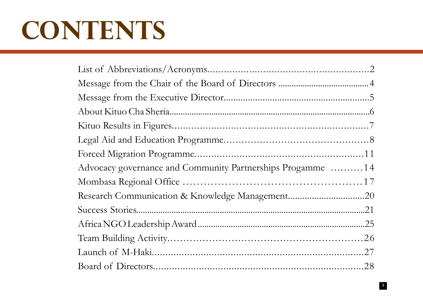### **CONTENTS**

| Advocacy governance and Community Partnerships Progamme  14 |  |  |
|-------------------------------------------------------------|--|--|
|                                                             |  |  |
|                                                             |  |  |
|                                                             |  |  |
|                                                             |  |  |
|                                                             |  |  |
|                                                             |  |  |
|                                                             |  |  |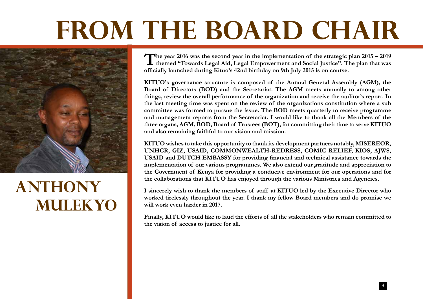### **FROM THE BOARD CHAIR**



### **ANTHONY MULEKYO**

**The year 2016 was the second year in the implementation of the strategic plan 2015 – 2019 themed "Towards Legal Aid, Legal Empowerment and Social Justice". The plan that was officially launched during Kituo's 42nd birthday on 9th July 2015 is on course.** 

**KITUO's governance structure is composed of the Annual General Assembly (AGM), the Board of Directors (BOD) and the Secretariat. The AGM meets annually to among other things, review the overall performance of the organization and receive the auditor's report. In the last meeting time was spent on the review of the organizations constitution where a sub committee was formed to pursue the issue. The BOD meets quarterly to receive programme and management reports from the Secretariat. I would like to thank all the Members of the three organs, AGM, BOD, Board of Trustees (BOT), for committing their time to serve KITUO and also remaining faithful to our vision and mission.**

**KITUO wishes to take this opportunity to thank its development partners notably, MISEREOR, UNHCR, GIZ, USAID, COMMONWEALTH-REDRESS, COMIC RELIEF, KIOS, AJWS, USAID and DUTCH EMBASSY for providing financial and technical assistance towards the implementation of our various programmes. We also extend our gratitude and appreciation to the Government of Kenya for providing a conducive environment for our operations and for the collaborations that KITUO has enjoyed through the various Ministries and Agencies.** 

**I sincerely wish to thank the members of staff at KITUO led by the Executive Director who worked tirelessly throughout the year. I thank my fellow Board members and do promise we will work even harder in 2017.** 

**Finally, KITUO would like to laud the efforts of all the stakeholders who remain committed to the vision of access to justice for all.**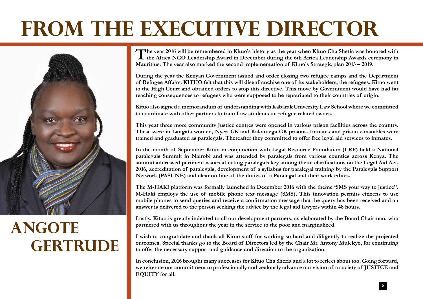### **FROM THE EXECUTIVE DIRECTOR**



### **ANGOTE GERTRUDE**

The year 2016 will be remembered in Kituo's history as the year when Kituo Cha Sheria was honored with the Africa NGO Leadership Award in December during the 6th Africa Leadership Awards ceremony in Mauritius. The year als **Mauritius. The year also marked the second implementation of Kituo's Strategic plan 2015 – 2019.** 

**During the year the Kenyan Government issued and order closing two refugee camps and the Department of Refugee Affairs. KITUO felt that this will disenfranchise one of its stakeholders, the refugees. Kituo went to the High Court and obtained orders to stop this directive. This move by Government would have had far reaching consequences to refugees who were supposed to be repatriated to their countries of origin.** 

**Kituo also signed a memorandum of understanding with Kabarak University Law School where we committed to coordinate with other partners to train Law students on refugee related issues.** 

**This year three more community Justice centres were opened in various prison facilities across the country. These were in Langata women, Nyeri GK and Kakamega GK prisons. Inmates and prison constables were trained and graduated as paralegals. Thereafter they committed to offer free legal aid services to inmates.** 

**In the month of September Kituo in conjunction with Legal Resource Foundation (LRF) held a National paralegals Summit in Nairobi and was attended by paralegals from various counties across Kenya. The summit addressed pertinent issues affecting paralegals key among them: clarifications on the Legal Aid Act, 2016, accreditation of paralegals, development of a syllabus for paralegal training by the Paralegals Support Network (PASUNE) and clear outline of the duties of a Paralegal and their work ethics.**

**The M-HAKI platform was formally launched in December 2016 with the theme 'SMS your way to justice". M-Haki employs the use of mobile phone text message (SMS). This innovation permits citizens to use mobile phones to send queries and receive a confirmation message that the query has been received and an answer is delivered to the person seeking the advice by the legal aid lawyers within 48 hours.**

**Lastly, Kituo is greatly indebted to all our development partners, as elaborated by the Board Chairman, who partnered with us throughout the year in the service to the poor and marginalized.** 

**I wish to congratulate and thank all Kituo staff for working so hard and diligently to realize the projected outcomes. Special thanks go to the Board of Directors led by the Chair Mr. Antony Mulekyo, for continuing to offer the necessary support and guidance and direction to the organization.** 

**In conclusion, 2016 brought many successes for Kituo Cha Sheria and a lot to reflect about too. Going forward, we reiterate our commitment to professionally and zealously advance our vision of a society of JUSTICE and EQUITY for all.**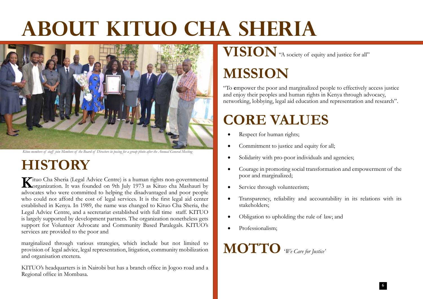### **ABOUT KITUO CHA SHERIA**



*Kituo members of staff join Members of the Board of Directors in posing for a group photo after the Annual General Meeting*

### **HISTORY**

Kituo Cha Sheria (Legal Advice Centre) is a human rights non-governmental Lorganization. It was founded on 9th July 1973 as Kituo cha Mashauri by advocates who were committed to helping the disadvantaged and poor people who could not afford the cost of legal services. It is the first legal aid center established in Kenya. In 1989, the name was changed to Kituo Cha Sheria, the Legal Advice Centre, and a secretariat established with full time staff. KITUO is largely supported by development partners. The organization nonetheless gets support for Volunteer Advocate and Community Based Paralegals. KITUO's services are provided to the poor and

marginalized through various strategies, which include but not limited to provision of legal advice, legal representation, litigation, community mobilization and organisation etcetera.

KITUO's headquarters is in Nairobi but has a branch office in Jogoo road and a Regional office in Mombasa.

#### **VISION** "A society of equity and justice for all"

### **MISSION**

"To **e**mpower the poor and marginalized people to effectively access justice and enjoy their peoples and human rights in Kenya through advocacy, networking, lobbying, legal aid education and representation and research".

### **CORE VALUES**

- Respect for human rights;
- Commitment to justice and equity for all;
- Solidarity with pro-poor individuals and agencies;
- Courage in promoting social transformation and empowerment of the poor and marginalized;
- Service through volunteerism;
- Transparency, reliability and accountability in its relations with its stakeholders;

**6**

- Obligation to upholding the rule of law; and
- Professionalism;

### **MOTTO** '*We Care for Justice'*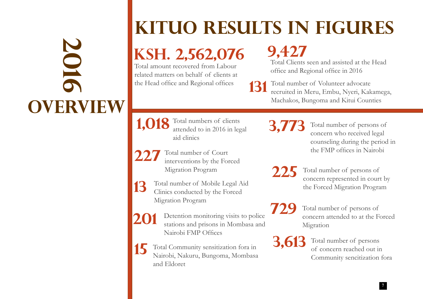# **DO**<br> **2016**<br> **2016**<br> **2016**

### **kituo results in figures**

**Ksh. 2,562,076 9,427** 

Total amount recovered from Labour related matters on behalf of clients at the Head office and Regional offices

Total Clients seen and assisted at the Head office and Regional office in 2016

**131** Total number of Volunteer advocate recruited in Meru, Embu, Nyeri, Kakamega, Machakos, Bungoma and Kitui Counties

**1,018** Total numbers of clients attended to in 2016 in legal aid clinics

**227** interventions by the Forced

**3,773**  Total number of persons of concern who received legal counseling during the period in Total number of Court

**225** Migration Program  $\bigcap_{n=1}^{\infty}$  Total number of persons of concern represented in court by 13 Total number of Mobile Legal Aid the Forced Migration Program tells onducted by the Forced

> Total number of persons of concern attended to at the Forced Migration

Community sencitization fora

Total number of persons of concern reached out in

**7**

**15** Total Community sensitization for in **3,613** Nairobi FMP Offices Total Community sensitization fora in Nairobi, Nakuru, Bungoma, Mombasa and Eldoret





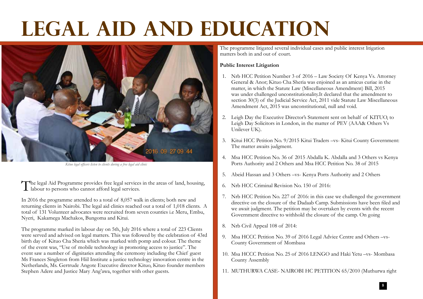### **LEGAL AID AND EDUCATION**



*Kituo legal officers listen to clients during a free legal aid clinic*

The legal Aid Programme provides free legal services in the areas of land, housing, labour to persons who cannot afford legal services.

In 2016 the programme attended to a total of 8,057 walk in clients; both new and returning clients in Nairobi. The legal aid clinics reached out a total of 1,018 clients. A total of 131 Volunteer advocates were recruited from seven counties i.e Meru, Embu, Nyeri, Kakamega Machakos, Bungoma and Kitui.

The programme marked its labour day on 5th, July 2016 where a total of 223 Clients were served and advised on legal matters. This was followed by the celebration of 43rd birth day of Kituo Cha Sheria which was marked with pomp and colour. The theme of the event was, "Use of mobile technology in promoting access to justice". The event saw a number of dignitaries attending the ceremony including the Chief guest Ms Frances Singleton from Hiil Institute a justice technology innovation centre in the Netherlands, Ms. Gertrude Angote Executive director Kituo, Kituo founder members Stephen Adere and Justice Mary Ang'awa, together with other guests.

The programme litigated several individual cases and public interest litigation matters both in and out of court.

#### **Public Interest Litigation**

- 1. Nrb HCC Petition Number 3 of 2016 Law Society Of Kenya Vs. Attorney General & Anor; Kituo Cha Sheria was enjoined as an amicus curiae in the matter, in which the Statute Law (Miscellaneous Amendment) Bill, 2015 was under challenged unconstitutionality.It declared that the amendment to section 30(3) of the Judicial Service Act, 2011 vide Statute Law Miscellaneous Amendment Act, 2015 was unconstitutional, null and void.
- 2. Leigh Day the Executive Director's Statement sent on behalf of KITUO, to Leigh Day Solicitors in London, in the matter of PEV (AAA& Others Vs Unilever UK).
- 3. Kitui HCC Petition No. 9/2015 Kitui Traders –vs- Kitui County Government: The matter awaits judgment.
- 4. Msa HCC Petition No. 36 of 2015 Abdalla K. Abdalla and 3 Others vs Kenya Ports Authority and 2 Others and Msa HCC Petition No. 38 of 2015
- 5. Abeid Hassan and 3 Others –vs- Kenya Ports Authority and 2 Others
- 6. Nrb HCC Criminal Revision No. 150 of 2016:
- 7. Nrb HCC Petition No. 227 of 2016: in this case we challenged the government directive on the closure of the Dadaab Camp. Submissions have been filed and we await judgment. The petition may be overtaken by events with the recent Government directive to withhold the closure of the camp. On going
- 8. Nrb Civil Appeal 108 of 2014:
- 9. Msa HCCC Petition No. 39 of 2016 Legal Advice Centre and Others –vs-County Government of Mombasa
- 10. Msa HCCC Petition No. 25 of 2016 LENGO and Haki Yetu –vs- Mombasa County Assembly
- 11. MUTHURWA CASE- NAIROBI HC PETITION 65/2010 (Muthurwa right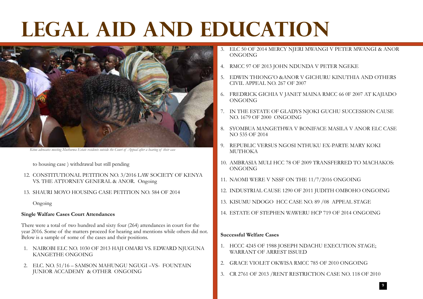### **LEGAL AID AND EDUCATION**



*Kituo advocates meeting Muthurwa Estate residents outside the Court of Appeal after a hearing of their case*

to housing case ) withdrawal but still pending

- 12. CONSTITUTIONAL PETITION NO. 3/2016 LAW SOCIETY OF KENYA VS. THE ATTORNEY GENERAL & ANOR. Ongoing
- 13. SHAURI MOYO HOUSING CASE PETITION NO. 584 OF 2014

Ongoing

#### **Single Walfare Cases Court Attendances**

There were a total of two hundred and sixty four (264) attendances in court for the year 2016. Some of the matters proceed for hearing and mentions while others did not. Below is a sample of some of the cases and their positions.

- 1. Nairobi ELC No. 1030 of 2013 Haji Omari vs. Edward Njuguna Kangethe Ongoing
- 2. ELC. NO. 51/16 SAMSON MAHUNGU NGUGI –VS- FOUNTAIN JUNIOR ACCADEMY & OTHER Ongoing
- 3. ELC 50 OF 2014 MERCY NJERI MWANGI V PETER MWANGI & ANOR **ONGOING**
- 4. RMCC 97 OF 2013 JOHN NDUNDA V PETER NGEKE
- 5. EDWIN THIONG'O &ANOR V GICHURU KINUTHIA AND OTHERS CIVIL APPEAL NO. 267 OF 2007
- 6. FREDRICK GICHIA V JANET MAINA RMCC 66 0F 2007 AT KAJIADO **ONGOING**
- 7. IN THE ESTATE OF GLADYS NJOKI GUCHU SUCCESSION CAUSE NO. 1679 OF 2000 Ongoing
- 8. SYOMBUA MANGETHWA V BONIFACE MASILA V ANOR ELC CASE NO 535 OF 2014
- 9. REPUBLIC VERSUS NGOSI NTHUKU EX-PARTE MARY KOKI **MUTHOKA**
- 10. AMBRASIA MULI HCC 78 OF 2009 Transferred to machakos: **ONGOING**
- 11. NAOMI WERE V NSSF On the 11/7/2016 Ongoing
- 12. INDUSTRIAL CAUSE 1290 OF 2011 JUDITH OMBOHO Ongoing
- 13. KISUMU NDOGO HCC CASE NO. 89 /08 Appeal stage
- 14. ESTATE OF STEPHEN WAWERU HCP 719 OF 2014 Ongoing

#### **Successful Welfare Cases**

- 1. HCCC 4245 OF 1988 JOSEPH NDACHU execution stage; warrant of arrest issued
- 2. GRACE VIOLET OKWISA RMCC 785 of 2010 Ongoing
- 3. CR 2761 of 2013 /RENT RESTRICTION CASE NO. 118 of 2010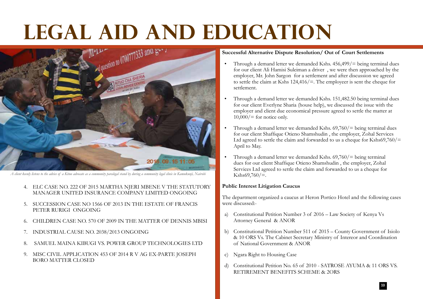## LEGAL AID AND EDUCATION



*A client keenly listens to the advice of a Kituo advocate as a community paralegal stand by during a community legal clinic in Kamukunji, Nairobi*

- 4. ELC CASE NO. 222 OF 2015 MARTHA NJERI MBENE V THE STATUTORY MANAGER UNITED INSURANCE COMPANY LIMITED Ongoing
- 5. SUCCESSION CASE NO 1566 OF 2013 IN THE ESTATE OF FRANCIS PETER RURIGI Ongoing
- 6. CHILDREN CASE NO. 570 OF 2009 IN THE MATTER OF DENNIS MBISI
- 7. INDUSTRIAL CAUSE NO. 2038/2013 Ongoing
- 8. SAMUEL MAINA KIBUGI VS. POWER GROUP TECHNOLOGIES LTD
- 9. MISC CIVIL APPLICATION 453 OF 2014 R V AG EX-PARTE JOSEPH BORO MATTER CLOSED

#### **Successful Alternative Dispute Resolution/ Out of Court Settlements**

- Through a demand letter we demanded Kshs. 456,499/= being terminal dues for our client Ali Hamisi Suleiman a driver , we were then approached by the employer, Mr. John Sargon for a settlement and after discussion we agreed to settle the claim at Kshs 124,416/=. The employeer is sent the cheque for settlement.
- Through a demand letter we demanded Kshs. 151,482.50 being terminal dues for our client Everlyne Sharia (house help), we discussed the issue with the employer and client due economical pressure agreed to settle the matter at  $10,000/$  = for notice only.
- Through a demand letter we demanded Kshs.  $69,760/$  = being terminal dues for our client Shaffique Otieno Shamshudin , the employer, Zohal Services Ltd agreed to settle the claim and forwarded to us a cheque for Kshs69,760/= April to May.
- Through a demand letter we demanded Kshs. 69,760/= being terminal dues for our client Shaffique Otieno Shamshudin , the employer, Zohal Services Ltd agreed to settle the claim and forwarded to us a cheque for  $Kshs69,760/=$ .

#### **Public Interest Litigation Caucus**

The department organized a caucus at Heron Portico Hotel and the following cases were discussed:-

- a) Constitutional Petition Number 3 of 2016 Law Society of Kenya Vs Attorney General & ANOR
- b) Constitutional Petition Number 511 of 2015 County Government of Isiolo & 10 ORS Vs. The Cabinet Secretary Ministry of Intereor and Coordination of National Government & ANOR
- c) Ngara Right to Housing Case
- d) Constitutional Petition No. 65 of 2010 SATROSE AYUMA & 11 ORS VS. RETIREMENT BENEFITS SCHEME & 2ORS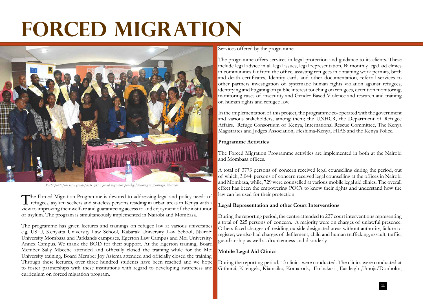### **forced migration**



*Participants pose for a group photo after a forced migration paralegal training in Eastleigh, Nairobi*

The Forced Migration Programme is devoted to addressing legal and policy needs of refugees, asylum seekers and stateless persons residing in urban areas in Kenya with a view to improving their welfare and guaranteeing access to and enjoyment of the institution of asylum. The program is simultaneously implemented in Nairobi and Mombasa.

The programme has given lectures and trainings on refugee law at various universities e.g. USIU, Kenyatta University Law School, Kabarak University Law School, Nairobi University Mombasa and Parklands campuses, Egerton Law Campus and Moi University-Annex Campus. We thank the BOD for their support. At the Egerton training, Board Member Sally Mbeche attended and officially closed the training while for the Moi University training, Board Member Joy Asiema attended and officially closed the training. Through these lectures, over three hundred students have been reached and we hope to foster partnerships with these institutions with regard to developing awareness and curriculum on forced migration program.

#### Services offered by the programme

The programme offers services in legal protection and guidance to its clients. These include legal advice in all legal issues, legal representation, Bi monthly legal aid clinics in communities far from the office, assisting refugees in obtaining work permits, birth and death certificates, Identity cards and other documentation, referral services to other partners investigation of systematic human rights violation against refugees, identifying and litigating on public interest touching on refugees, detention monitoring, monitoring cases of insecurity and Gender Based Violence and research and training on human rights and refugee law.

In the implementation of this project, the programme co-operated with the government and various stakeholders, among them; the UNHCR, the Department of Refugee Affairs, Refuge Consortium of Kenya, International Rescue Committee, The Kenya Magistrates and Judges Association, Heshima-Kenya, HIAS and the Kenya Police.

#### **Programme Activities**

The Forced Migration Programme activities are implemented in both at the Nairobi and Mombasa offices.

A total of 3773 persons of concern received legal counselling during the period, out of which, 3,044 persons of concern received legal counselling at the offices in Nairobi and Mombasa, while, 729 were counselled at various mobile legal aid clinics. The overall effect has been the empowering POC's to know their rights and understand how the law can be used for their protection.

#### **Legal Representation and other Court Interventions**

During the reporting period, the centre attended to 227 court interventions representing a total of 225 persons of concern. A majority were on charges of unlawful presence. Others faced charges of residing outside designated areas without authority, failure to register; we also had charges of defilement, child and human trafficking, assault, traffic, guardianship as well as drunkenness and disorderly.

#### **Mobile Legal Aid Clinics**

During the reporting period, 13 clinics were conducted. The clinics were conducted at Githurai, Kitengela, Kiamaiko, Komarock, Embakasi , Eastleigh ,Umoja/Donholm,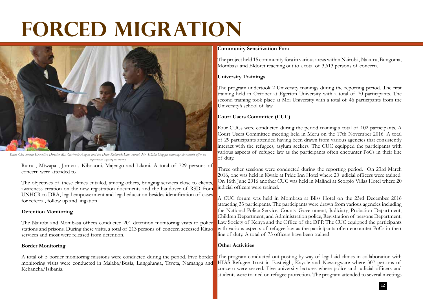### **forced migration**



*Kituo Cha Sheria Executive Director Ms. Gertrude Angote and the Dean Kabarak Law School, Mr. Elisha Ongoya exchange documents after an agreement signing ceremony*

Ruiru , Mtwapa , Jomvu , Kibokoni, Majengo and Likoni. A total of 729 persons of concern were attended to.

The objectives of these clinics entailed, among others, bringing services close to clients, awareness creation on the new registration documents and the handover of RSD from UNHCR to DRA, legal empowerment and legal education besides identification of cases for referral, follow up and litigation

#### **Detention Monitoring**

The Nairobi and Mombasa offices conducted 201 detention monitoring visits to police stations and prisons. During these visits, a total of 213 persons of concern accessed Kituo services and most were released from detention.

#### **Border Monitoring**

A total of 5 border monitoring missions were conducted during the period. Five border monitoring visits were conducted in Malaba/Busia, Lungalunga, Taveta, Namanga and Kehancha/Isibania.

#### **Community Sensitization Fora**

The project held 15 community fora in various areas within Nairobi , Nakuru, Bungoma, Mombasa and Eldoret reaching out to a total of 3,613 persons of concern.

#### **University Trainings**

The program undertook 2 University trainings during the reporting period. The first training held in October at Egerton University with a total of 70 participants. The second training took place at Moi University with a total of 46 participants from the University's school of law

#### **Court Users Committee (CUC)**

Four CUCs were conducted during the period training a total of 102 participants. A Court Users Committee meeting held in Meru on the 17th November 2016. A total of 29 participants attended having been drawn from various agencies that consistently interact with the refugees, asylum seekers. The CUC equipped the participants with various aspects of refugee law as the participants often encounter PoCs in their line of duty.

Three other sessions were conducted during the reporting period. On 23rd March 2016, one was held in Kwale at Pride Inn Hotel where 20 judicial officers were trained. On 16th June 2016 another CUC was held in Malindi at Scorpio Villas Hotel where 20 iudicial officers were trained.

A CUC forum was held in Mombasa at Bliss Hotel on the 23rd December 2016 attracting 33 participants. The participants were drawn from various agencies including the National Police Service, County Government, Judiciary, Probation Department, Children Department, and Administration police, Registration of persons Department, Law Society of Kenya and the Office of the DPP. The CUC equipped the participants with various aspects of refugee law as the participants often encounter PoCs in their line of duty. A total of 73 officers have been trained.

#### **Other Activities**

The program conducted out-posting by way of legal aid clinics in collaboration with HIAS Refugee Trust in Eastleigh, Kayole and Kawangware where 307 persons of concern were served. Five university lectures where police and judicial officers and students were trained on refugee protection. The program attended to several meetings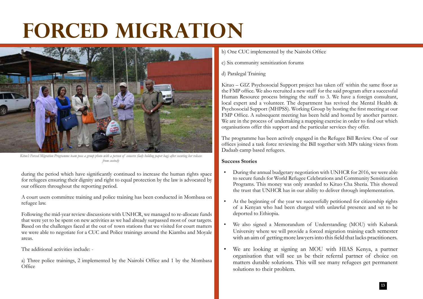### **forced migration**



*Kituo's Forced Migration Programme team pose a group photo with a person of concern (lady holding paper bag) after securing her release from custody*

during the period which have significantly continued to increase the human rights space for refugees ensuring their dignity and right to equal protection by the law is advocated by our officers throughout the reporting period.

A court users committee training and police training has been conducted in Mombasa on refugee law.

Following the mid-year review discussions with UNHCR, we managed to re-allocate funds that were yet to be spent on new activities as we had already surpassed most of our targets. Based on the challenges faced at the out of town stations that we visited for court matters we were able to negotiate for a CUC and Police trainings around the Kiambu and Moyale areas.

The additional activities include: -

a) Three police trainings, 2 implemented by the Nairobi Office and 1 by the Mombasa Office

- b) One CUC implemented by the Nairobi Office
- c) Six community sensitization forums

#### d) Paralegal Training

Kituo – GIZ Psychosocial Support project has taken off within the same floor as the FMP office. We also recruited a new staff for the said program after a successful Human Resource process bringing the staff to 3. We have a foreign consultant, local expert and a volunteer. The department has revived the Mental Health & Psychosocial Support (MHPSS). Working Group by hosting the first meeting at our FMP Office. A subsequent meeting has been held and hosted by another partner. We are in the process of undertaking a mapping exercise in order to find out which organisations offer this support and the particular services they offer.

The programme has been actively engaged in the Refugee Bill Review. One of our offices joined a task force reviewing the Bill together with MPs taking views from Dadaab camp based refugees.

#### **Success Stories**

- During the annual budgetary negotiation with UNHCR for 2016, we were able to secure funds for World Refugee Celebrations and Community Sensitization Programs. This money was only awarded to Kituo Cha Sheria. This showed the trust that UNHCR has in our ability to deliver through implementation.
- At the beginning of the year we successfully petitioned for citizenship rights of a Kenyan who had been charged with unlawful presence and set to be deported to Ethiopia.
- We also signed a Memorandum of Understanding (MOU) with Kabarak University where we will provide a forced migration training each semester with an aim of getting more lawyers into this field that lacks practitioners.
- We are looking at signing an MOU with HIAS Kenya, a partner organisation that will see us be their referral partner of choice on matters durable solutions. This will see many refugees get permanent solutions to their problem.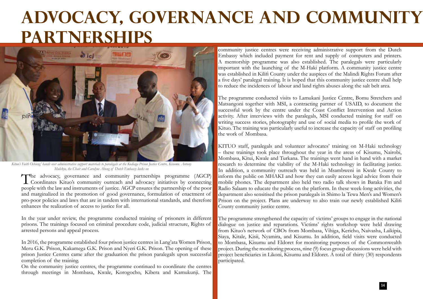### **advocacy, governance and community partnerships**



*Kituo's Faith Ochieng' hands over administrative support materials to paralegals at the Kodiaga Prison Justice Centre, Kisumu. Antony Mulekyo, the Chair and Carolyne Abong of Dutch Embassy looks on*

The advocacy, governance and community partnerships programme (AGCP)<br>Coordinates Kituo's community outreach and advocacy initiatives by connecting people with the law and instruments of justice. AGCP ensures the partnership of the poor and marginalized in the promotion of good governance, formulation of enactment of pro-poor policies and laws that are in tandem with international standards, and therefore enhances the realization of access to justice for all.

In the year under review, the programme conducted training of prisoners in different prisons. The trainings focused on criminal procedure code, judicial structure, Rights of arrested persons and appeal process.

In 2016, the programme established four prison justice centres in Lang'ata Women Prison, Meru G.K. Prison, Kakamega G.K. Prison and Nyeri G.K. Prison. The opening of these prison Justice Centres came after the graduation the prison paralegals upon successful completion of the training.

On the community justice centres, the programme continued to coordinate the centres through meetings in Mombasa, Kwale, Korogocho, Kibera and Kamukunji. The

community justice centres were receiving administrative support from the Dutch Embassy which included payment for rent and supply of computers and printers. A mentorship programme was also established. The paralegals were particularly important with the launching of the M-Haki platform. A community justice centre was established in Kilifi County under the auspices of the Malindi Rights Forum after a five days' paralegal training. It is hoped that this community justice centre shall help to reduce the incidences of labour and land rights abuses along the salt belt area.

The programme conducted visits to Lamukani Justice Centre, Bomu Stretchers and Matsangoni together with MSI, a contracting partner of USAID, to document the successful work by the centre under the Coast Conflict Intervention and Action activity. After interviews with the paralegals, MSI conducted training for staff on writing success stories, photography and use of social media to profile the work of Kituo. The training was particularly useful to increase the capacity of staff on profiling the work of Mombasa.

KITUO staff, paralegals and volunteer advocates' training on M-Haki technology – these trainings took place throughout the year in the areas of Kisumu, Nairobi, Mombasa, Kitui, Kwale and Turkana. The trainings went hand in hand with a market research to determine the viability of the M-Haki technology in facilitating justice. In addition, a community outreach was held in Msambweni in Kwale County to inform the public on MHAKI and how they can easily access legal advice from their mobile phones. The department also held two radio talk shows in Baraka Fm and Radio Salaam to educate the public on the platform. In these week-long activities, the department also sensitised the prison paralegals in Shimo la Tewa Men's and Women's Prison on the project. Plans are underway to also train our newly established Kilifi County community justice centre.

The programme strengthened the capacity of victims' groups to engage in the national dialogue on justice and reparations. Victims' rights workshop were held drawing from Kituo's network of CBOs from Mombasa, Vihiga, Kericho, Naivasha, Laikipia, Siaya, Kitale, Kisii, Nyamira, and Kisumu. In addition, field visits were conducted to Mombasa, Kisumu and Eldoret for monitoring purposes of the Commonwealth project. During the monitoring process, nine (9) focus group discussions were held with project beneficiaries in Likoni, Kisumu and Eldoret. A total of thirty (30) respondents participated.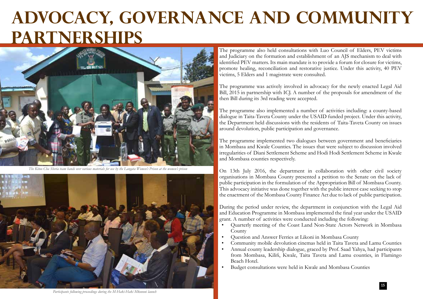### **advocacy, governance and community partnerships**



*The Kituo Cha Sheria team hands over various materials for use by the Langata Women's Prison at the women's prison*



The programme also held consultations with Luo Council of Elders, PEV victims and Judiciary on the formation and establishment of an AJS mechanism to deal with identified PEV matters. Its main mandate is to provide a forum for closure for victims, promote healing, reconciliation and restorative justice. Under this activity, 40 PEV victims, 5 Elders and 1 magistrate were consulted.

The programme was actively involved in advocacy for the newly enacted Legal Aid Bill, 2015 in partnership with ICJ. A number of the proposals for amendment of the then Bill during its 3rd reading were accepted.

The programme also implemented a number of activities including: a county-based dialogue in Taita-Taveta County under the USAID funded project. Under this activity, the Department held discussions with the residents of Taita-Taveta County on issues around devolution, public participation and governance.

The programme implemented two dialogues between government and beneficiaries in Mombasa and Kwale Counties. The issues that were subject to discussion involved irregularities of Diani Settlement Scheme and Hodi Hodi Settlement Scheme in Kwale and Mombasa counties respectively.

On 13th July 2016, the department in collaboration with other civil society organisations in Mombasa County presented a petition to the Senate on the lack of public participation in the formulation of the Appropriation Bill of Mombasa County. This advocacy initiative was done together with the public interest case seeking to stop the enactment of the Mombasa County Finance Act due to lack of public participation.

During the period under review, the department in conjunction with the Legal Aid and Education Programme in Mombasa implemented the final year under the USAID grant. A number of activities were conducted including the following:

- Quarterly meeting of the Coast Land Non-State Actors Network in Mombasa County
- Question and Answer Ferries at Likoni in Mombasa County
- Community mobile devolution cinemas held in Taita Taveta and Lamu Counties
- Annual county leadership dialogue, graced by Prof. Saad Yahya, had participants from Mombasa, Kilifi, Kwale, Taita Taveta and Lamu counties, in Flamingo Beach Hotel.

**15**

• Budget consultations were held in Kwale and Mombasa Counties

*Participants following proceedings during the M-Haki-Haki Mkononi launch*